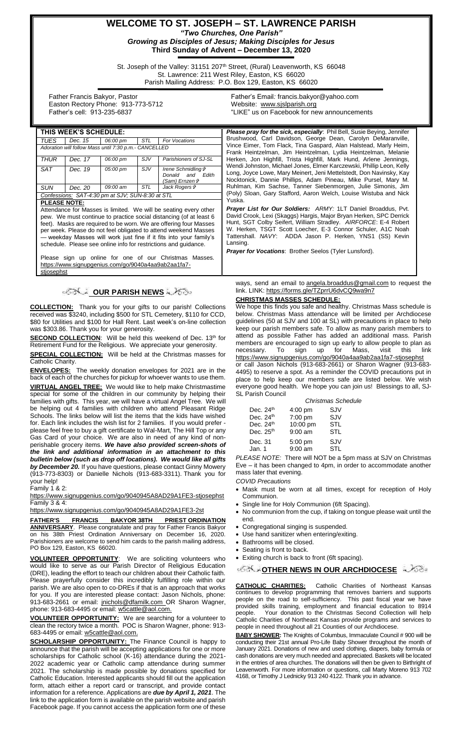# **WELCOME TO ST. JOSEPH – ST. LAWRENCE PARISH** *"Two Churches, One Parish" Growing as Disciples of Jesus; Making Disciples for Jesus*

**Third Sunday of Advent – December 13, 2020**

St. Joseph of the Valley: 31151 207<sup>th</sup> Street, (Rural) Leavenworth, KS 66048 St. Lawrence: 211 West Riley, Easton, KS 66020 Parish Mailing Address: P.O. Box 129, Easton, KS 66020

 Father Francis Bakyor, Pastor Easton Rectory Phone: 913-773-5712 Father's cell: 913-235-6837

Father's Email*:* francis.bakyor@yahoo.com Website: [www.sjslparish.org](http://www.sjslparish.org/) "LIKE" us on Facebook for new announcements

| THIS WEEK'S SCHEDULE:                                                                                                                 |         |                                                  |            |                                                                                     | <b>Please pray for the sick, especially:</b> Phil Bell, Susie Beying, Jennifer                                                                                                                                |
|---------------------------------------------------------------------------------------------------------------------------------------|---------|--------------------------------------------------|------------|-------------------------------------------------------------------------------------|---------------------------------------------------------------------------------------------------------------------------------------------------------------------------------------------------------------|
| TUES                                                                                                                                  | Dec. 15 | 06:00 pm                                         | <b>STL</b> | For Vocations                                                                       | Brushwood, Carl Davidson, George Dean, Carolyn DeMaranville,                                                                                                                                                  |
| Adoration will follow Mass until 7:30 p.m.- CANCELLED                                                                                 |         |                                                  |            |                                                                                     | Vince Eimer, Tom Flack, Tina Gaspard, Alan Halstead, Marly Heim,<br>Frank Heintzelman, Jim Heintzelman, Lydia Heintzelman, Melanie                                                                            |
| <b>THUR</b>                                                                                                                           | Dec. 17 | 06:00 pm                                         | SJV        | Parishioners of SJ-SL                                                               | Herken, Jon Highfill, Trista Highfill, Mark Hund, Arlene Jennings,                                                                                                                                            |
| SAT                                                                                                                                   | Dec. 19 | 05:00 pm                                         | SJV        | <b>Irene Schmidling &amp;</b><br>Donald and<br>Edith<br>(Sam) Ernzen i <sup>a</sup> | Wendi Johnston, Michael Jones, Elmer Karczewski, Phillip Leon, Kelly<br>Long, Joyce Lowe, Mary Meinert, Jeni Mettelstedt, Don Navinsky, Kay<br>Nocktonick, Dannie Phillips, Adam Pineau, Mike Pursel, Mary M. |
| <b>SUN</b>                                                                                                                            | Dec. 20 | 09:00 am                                         | STL        | Jack Rogers &                                                                       | Ruhlman, Kim Sachse, Tanner Siebenmorgen, Julie Simonis, Jim                                                                                                                                                  |
|                                                                                                                                       |         | Confessions: SAT-4:30 pm at SJV; SUN-8:30 at STL |            |                                                                                     | (Poly) Sloan, Gary Stafford, Aaron Welch, Louise Wistuba and Nick                                                                                                                                             |
| <b>PLEASE NOTE:</b>                                                                                                                   |         |                                                  |            |                                                                                     | Yuska.                                                                                                                                                                                                        |
| Attendance for Masses is limited. We will be seating every other                                                                      |         |                                                  |            |                                                                                     | <b>Prayer List for Our Soldiers:</b> ARMY: 1LT Daniel Broaddus, Pvt.                                                                                                                                          |
| pew. We must continue to practice social distancing (of at least 6                                                                    |         |                                                  |            |                                                                                     | David Crook, Lexi (Skaggs) Hargis, Major Bryan Herken, SPC Derrick<br>Hunt, SGT Colby Seifert, William Stradley. AIRFORCE: E-4 Robert                                                                         |
| feet). Masks are required to be worn. We are offering four Masses                                                                     |         |                                                  |            |                                                                                     | W. Herken, TSGT Scott Loecher, E-3 Connor Schuler, A1C Noah                                                                                                                                                   |
| per week. Please do not feel obligated to attend weekend Masses<br>- weekday Masses will work just fine if it fits into your family's |         |                                                  |            |                                                                                     | Tattershall. NAVY: ADDA Jason P. Herken, YNS1 (SS) Kevin                                                                                                                                                      |
| schedule. Please see online info for restrictions and guidance.                                                                       |         |                                                  |            |                                                                                     | Lansing.                                                                                                                                                                                                      |
|                                                                                                                                       |         |                                                  |            |                                                                                     | <b>Prayer for Vocations:</b> Brother Seelos (Tyler Lunsford).                                                                                                                                                 |
| Please sign up online for one of our Christmas Masses.                                                                                |         |                                                  |            |                                                                                     |                                                                                                                                                                                                               |
| https://www.signupgenius.com/go/9040a4aa9ab2aa1fa7-                                                                                   |         |                                                  |            |                                                                                     |                                                                                                                                                                                                               |
| stjosephst                                                                                                                            |         |                                                  |            |                                                                                     |                                                                                                                                                                                                               |

**OUR PARISH NEWS**

**COLLECTION:** Thank you for your gifts to our parish! Collections received was \$3240, including \$500 for STL Cemetery, \$110 for CCD, \$80 for Utilities and \$100 for Hall Rent. Last week's on-line collection was \$303.86. Thank you for your generosity.

**SECOND COLLECTION:** Will be held this weekend of Dec. 13th for Retirement Fund for the Religious. We appreciate your generosity.

**SPECIAL COLLECTION:** Will be held at the Christmas masses for Catholic Charity.

**ENVELOPES:** The weekly donation envelopes for 2021 are in the back of each of the churches for pickup for whoever wants to use them. **VIRTUAL ANGEL TREE:** We would like to help make Christmastime special for some of the children in our community by helping their families with gifts. This year, we will have a virtual Angel Tree. We will be helping out 4 families with children who attend Pleasant Ridge Schools. The links below will list the items that the kids have wished for. Each link includes the wish list for 2 families. If you would prefer please feel free to buy a gift certificate to Wal-Mart, The Hill Top or any Gas Card of your choice. We are also in need of any kind of nonperishable grocery items. *We have also provided screen-shots of the link and additional information in an attachment to this bulletin below (such as drop off locations). We would like all gifts by December 20.* If you have questions, please contact Ginny Mowery (913-773-8303) or Danielle Nichols (913-683-3311). Thank you for your help!

Family 1 & 2:

<https://www.signupgenius.com/go/9040945A8AD29A1FE3-stjosephst> Family 3 & 4:

<https://www.signupgenius.com/go/9040945A8AD29A1FE3-2st>

**FATHER'S FRANCIS BAKYOR 38TH PRIEST ORDINATION ANNIVERSARY**. Please congratulate and pray for Father Francis Bakyor on his 38th Priest Ordination Anniversary on December 16, 2020. Parishioners are welcome to send him cards to the parish mailing address, PO Box 129, Easton, KS 66020.

**VOLUNTEER OPPORTUNITY**: We are soliciting volunteers who would like to serve as our Parish Director of Religious Education (DRE), leading the effort to teach our children about their Catholic faith. Please prayerfully consider this incredibly fulfilling role within our parish. We are also open to co-DREs if that is an approach that works for you. If you are interested please contact: Jason Nichols, phone: 913-683-2661 or email: [jnichols@dfamilk.com](mailto:jnichols@dfamilk.com) OR Sharon Wagner, phone: 913-683-4495 or email: [w5cattle@aol.com.](mailto:w5cattle@aol.com)

**VOLUNTEER OPPORTUNITY:** We are searching for a volunteer to clean the rectory twice a month. POC is Sharon Wagner, phone: 913- 683-4495 or email[: w5cattle@aol.com.](mailto:w5cattle@aol.com)

**SCHOLARSHIP OPPORTUNITY:** The Finance Council is happy to announce that the parish will be accepting applications for one or more scholarships for Catholic school (K-16) attendance during the 2021- 2022 academic year or Catholic camp attendance during summer 2021. The scholarship is made possible by donations specified for Catholic Education. Interested applicants should fill out the application form, attach either a report card or transcript, and provide contact information for a reference. Applications are *due by April 1, 2021*. The link to the application form is available on the parish website and parish Facebook page. If you cannot access the application form one of these

ways, send an email to [angela.broaddus@gmail.com](mailto:angela.broaddus@gmail.com) to request the link. LINK: <https://forms.gle/TZprrU6dvCQ9wa9n7>

## **CHRISTMAS MASSES SCHEDULE:**

We hope this finds you safe and healthy. Christmas Mass schedule is below. Christmas Mass attendance will be limited per Archdiocese guidelines (50 at SJV and 100 at SL) with precautions in place to help keep our parish members safe. To allow as many parish members to attend as possible Father has added an additional mass. Parish members are encouraged to sign up early to allow people to plan as<br>necessary. To sign up for Mass, visit this link necessary. To sign up for Mass, <https://www.signupgenius.com/go/9040a4aa9ab2aa1fa7-stjosephst> or call Jason Nichols (913-683-2661) or Sharon Wagner (913-683- 4495) to reserve a spot. As a reminder the COVID precautions put in place to help keep our members safe are listed below. We wish everyone good health. We hope you can join us! Blessings to all, SJ-SL Parish Council

| <b>Christmas Schedule</b> |                                                                         |  |
|---------------------------|-------------------------------------------------------------------------|--|
|                           | SJV                                                                     |  |
|                           | SJV                                                                     |  |
|                           | STL                                                                     |  |
|                           | <b>STL</b>                                                              |  |
|                           | SJV                                                                     |  |
|                           | <b>STL</b>                                                              |  |
|                           | $4:00$ pm<br>7:00 pm<br>10:00 pm<br>$9:00$ am<br>$5:00$ pm<br>$9:00$ am |  |

*PLEASE NOTE:* There will NOT be a 5pm mass at SJV on Christmas Eve – it has been changed to 4pm, in order to accommodate another mass later that evening.

*COVID Precautions*

- Mask must be worn at all times, except for reception of Holy Communion.
- Single line for Holy Communion (6ft Spacing).
- No communion from the cup, if taking on tongue please wait until the end.
- Congregational singing is suspended.
- Use hand sanitizer when entering/exiting.
- Bathrooms will be closed.
- Seating is front to back.
- Exiting church is back to front (6ft spacing).

#### *O***THER NEWS IN OUR ARCHDIOCESE**

**CATHOLIC CHARITIES:** Catholic Charities of Northeast Kansas continues to develop programming that removes barriers and supports people on the road to self-sufficiency. This past fiscal year we have provided skills training, employment and financial education to 8914 people. Your donation to the Christmas Second Collection will help Catholic Charities of Northeast Kansas provide programs and services to people in need throughout all 21 Counties of our Archdiocese.

**BABY SHOWER:** The Knights of Columbus, Immaculate Council # 900 will be conducting their 21st annual Pro-Life Baby Shower throughout the month of January 2021. Donations of new and used clothing, diapers, baby formula or cash donations are very much needed and appreciated. Baskets will be located in the entries of area churches. The donations will then be given to Birthright of Leavenworth. For more information or questions, call Marty Moreno 913 702 4168, or Timothy J Lednicky 913 240 4122. Thank you in advance.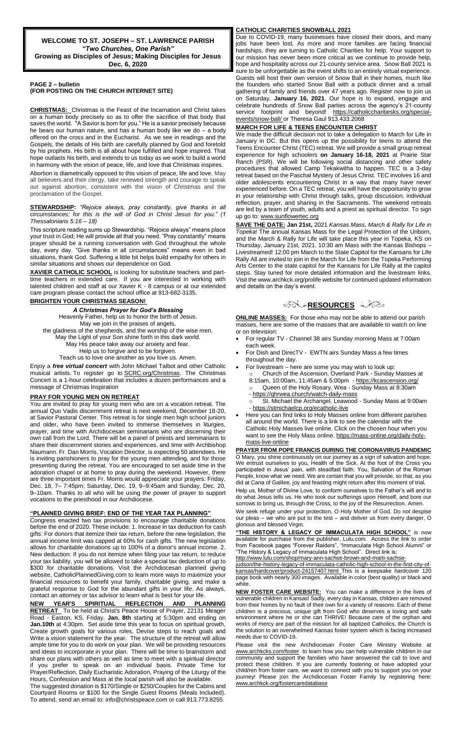#### **PAGE 2 – bulletin**

**(FOR POSTING ON THE CHURCH INTERNET SITE)**

**CHRISTMAS:** Christmas is the Feast of the Incarnation and Christ takes on a human body precisely so as to offer the sacrifice of that body that saves the world. "A Savior is born for you." He is a savior precisely because he bears our human nature, and has a human body like we do – a body offered on the cross and in the Eucharist. As we see in readings and the Gospels, the details of His birth are carefully planned by God and foretold by his prophets. His birth is all about hope fulfilled and hope inspired. That hope outlasts his birth, and extends to us today as we work to build a world in harmony with the vision of peace, life, and love that Christmas inspires.

Abortion is diametrically opposed to this vision of peace, life and love. May all believers and their clergy, take renewed strength and courage to speak out against abortion, consistent with the vision of Christmas and the proclamation of the Gospel.

#### **STEWARDSHIP:** *"Rejoice always, pray constantly, give thanks in all circumstances; for this is the will of God in Christ Jesus for you." (1 Thessalonians 5:16 – 18)*

This scripture reading sums up Stewardship. "Rejoice always" means place your trust in God; He will provide all that you need. "Pray constantly" means prayer should be a running conversation with God throughout the whole day, every day. "Give thanks in all circumstances" means even in bad situations, thank God. Suffering a little bit helps build empathy for others in similar situations and shows our dependence on God.

**XAVIER CATHOLIC SCHOOL** is looking for substitute teachers and parttime teachers in extended care. If you are interested in working with talented children and staff at our Xavier K - 8 campus or at our extended care program please contact the school office at 913-682-3135.

### **BRIGHTEN YOUR CHRISTMAS SEASON!**

*A Christmas Prayer for God's Blessing* Heavenly Father, help us to honor the birth of Jesus. May we join in the praises of angels, the gladness of the shepherds, and the worship of the wise men. May the Light of your Son shine forth in this dark world. May His peace take away our anxiety and fear. Help us to forgive and to be forgiven. Teach us to love one another as you love us. Amen.

Enjoy a *free virtual concert* with John Michael Talbot and other Catholic musical artists. To register go to **SCRC.org/Christmas**. The Christmas Concert is a 1-hour celebration that includes a dozen performances and a message of Christmas Inspiration

#### **PRAY FOR YOUNG MEN ON RETREAT**

You are invited to pray for young men who are on a vocation retreat. The annual Quo Vadis discernment retreat is next weekend, December 18-20, at Savior Pastoral Center. This retreat is for single men high school juniors and older, who have been invited to immerse themselves in liturgies, prayer, and time with Archdiocesan seminarians who are discerning their own call from the Lord. There will be a panel of priests and seminarians to share their discernment stories and experiences, and time with Archbishop Naumann. Fr. Dan Morris, Vocation Director, is expecting 50 attendees. He is inviting parishioners to pray for the young men attending, and for those presenting during the retreat. You are encouraged to set aside time in the adoration chapel or at home to pray during the weekend. However, there are three important times Fr. Morris would appreciate your prayers: Friday, Dec. 18, 7– 7:45pm; Saturday, Dec. 19, 9–9:45am and Sunday, Dec. 20, 9–10am. Thanks to all who will be using the power of prayer to support vocations to the priesthood in our Archdiocese.

#### **"PLANNED GIVING BRIEF: END OF THE YEAR TAX PLANNING"**

Congress enacted two tax provisions to encourage charitable donations before the end of 2020. These include: 1. Increase in tax deduction for cash gifts: For donors that itemize their tax return, before the new legislation, the annual income limit was capped at 60% for cash gifts. The new legislation allows for charitable donations up to 100% of a donor's annual income. 2. New deduction: If you do not itemize when filing your tax return, to reduce your tax liability, you will be allowed to take a special tax deduction of up to \$300 for charitable donations. Visit the Archdiocesan planned giving website, CatholicPlannedGiving.com to learn more ways to maximize your financial resources to benefit your family, charitable giving, and make a grateful response to God for the abundant gifts in your life. As always, contact an attorney or tax advisor to learn what is best for your life.

**NEW YEAR'S SPIRITUAL REFLECTION AND PLANNING RETREAT** To be held at Christ's Peace House of Prayer, 22131 Meager Road - Easton, KS, Friday, **Jan. 8th** starting at 5:30pm and ending on **Jan.10th** at 4:30pm. Set aside time this year to focus on spiritual growth, Create growth goals for various roles, Devise steps to reach goals and Write a vision statement for the year. The structure of the retreat will allow ample time for you to do work on your plan. We will be providing resources and ideas to incorporate in your plan. There will be time to brainstorm and share our plans with others as well as time to meet with a spiritual director if you prefer to speak on an individual basis. Private Time for Prayer/Reflection, Daily Eucharistic Adoration, Praying of the Liturgy of the Hours, Confession and Mass at the local parish will also be available.

The suggested donation is \$170/Single or \$250/Couples for the Cabins and Courtyard Rooms or \$100 for the Single Guest Rooms (Meals Included). To attend, send an email to: info@christspeace.com or call 913.773.8255.

#### **CATHOLIC CHARITIES SNOWBALL 2021**

Due to COVID-19, many businesses have closed their doors, and many jobs have been lost. As more and more families are facing financial hardships, they are turning to Catholic Charities for help. Your support to our mission has never been more critical as we continue to provide help, hope and hospitality across our 21-county service area. Snow Ball 2021 is sure to be unforgettable as the event shifts to an entirely virtual experience. Guests will host their own version of Snow Ball in their homes, much like the founders who started Snow Ball with a potluck dinner and a small gathering of family and friends over 47 years ago. Register now to join us on Saturday, **January 16, 2021**. Our hope is to expand, engage and celebrate hundreds of Snow Ball parties across the agency's 21-county service footprint and beyond! [https://catholiccharitiesks.org/special](https://catholiccharitiesks.org/special-events/snow-ball/)[events/snow-ball/](https://catholiccharitiesks.org/special-events/snow-ball/) or Theresa Gaul 913.433.2068

#### **MARCH FOR LIFE & TEENS ENCOUNTER CHRIST**

We made the difficult decision not to take a delegation to March for Life in January in DC. But this opens up the possibility for teens to attend the Teens Encounter Christ (TEC) retreat. We will provide a small group retreat experience for high schoolers **on January 16-18, 2021** at Prairie Star Ranch (PSR). We will be following social distancing and other safety procedures that allowed Camp Tekakwitha to happen. TEC is a 3-day retreat based on the Paschal Mystery of Jesus Christ. TEC involves 16 and older adolescents encountering Christ in a way that many have never experienced before. On a TEC retreat, you will have the opportunity to grow in your relationship with Christ through talks, group discussion, individual reflection, prayer, and sharing in the Sacraments. The weekend retreats are led by a team of youth, adults and a priest as spiritual director. To sign up go to[: www.sunflowertec.org](http://www.sunflowertec.org/)

**SAVE THE DATE: Jan 21st,** 2021 *Kansas Mass, March & Rally for Life in Topeka*! The annual Kansas Mass for the Legal Protection of the Unborn, and the March & Rally for Life will take place this year in Topeka, KS on Thursday, January 21st, 2021. 10:30 am Mass with the Kansas Bishops – Livestreamed! 12:00 pm March to the State Capitol for the Kansans for Life Rally All are invited to join in the March for Life from the Topeka Performing Arts Center to the state capitol for the Kansans for Life Rally at the capitol steps. Stay tuned for more detailed information and the livestream links. Visit the www.archkck.org/prolife website for continued updated information and details on the day's event.

### ಿನ್ಸ್⊁<mark>[R](http://www.google.com/url?sa=i&rct=j&q=&esrc=s&source=images&cd=&cad=rja&uact=8&ved=0CAcQjRxqFQoTCL3M6dfYlskCFQfIYwodK-sMqA&url=http://www.clipartpanda.com/categories/corner-scroll-design&psig=AFQjCNEcNGu-GRs-N_tcfj31hDOCKS7EqQ&ust=1447823402338642)ESOURCES</mark> ಎ∕್ಾ

**ONLINE MASSES:** For those who may not be able to attend our parish masses, here are some of the masses that are available to watch on line or on television:

- For regular TV Channel 38 airs Sunday morning Mass at 7:00am each week.
- For Dish and DirecTV EWTN airs Sunday Mass a few times throughout the day.
	- For livestream here are some you may wish to look up: o Church of the Ascension, Overland Park - Sunday Masses at 8:15am, 10:00am, 11:45am & 5:00pm - <https://kcascension.org/> o Queen of the Holy Rosary, Wea - Sunday Mass at 8:30am - <https://qhrwea.church/watch-daily-mass>
	- St. Michael the Archangel, Leawood Sunday Mass at 9:00am - <https://stmichaelcp.org/ecatholic-live>
- Here you can find links to Holy Masses online from different parishes all around the world. There is a link to see the calendar with the Catholic Holy Masses live online. Click on the chosen hour when you want to see the Holy Mass online[. https://mass-online.org/daily-holy](https://mass-online.org/daily-holy-mass-live-online)[mass-live-online](https://mass-online.org/daily-holy-mass-live-online)

**PRAYER FROM POPE FRANCIS DURING THE CORONAVIRUS PANDEMIC** O Mary, you shine continuously on our journey as a sign of salvation and hope. We entrust ourselves to you, Health of the Sick. At the foot of the Cross you participated in Jesus' pain, with steadfast faith. You, Salvation of the Roman People, know what we need. We are certain that you will provide, so that, as you did at Cana of Galilee, joy and feasting might return after this moment of trial.

Help us, Mother of Divine Love, to conform ourselves to the Father's will and to do what Jesus tells us. He who took our sufferings upon Himself, and bore our sorrows to bring us, through the Cross, to the joy of the Resurrection. Amen.

We seek refuge under your protection, O Holy Mother of God. Do not despis our pleas – we who are put to the test – and deliver us from every danger, O glorious and blessed Virgin.

**"THE HISTORY & LEGACY OF IMMACULATA HIGH SCHOOL"** is now available for purchase from the publisher, Lulu.com. Access the link to order from Facebook pages "Forever Raiders", "Immaculata High School Alumni" or "The History & Legacy of Immaculata High School". Direct link is:

[http://www.lulu.com/shop/mary-ann-sachse-brown-and-marti-sachse-](http://www.lulu.com/shop/mary-ann-sachse-brown-and-marti-sachse-judson/the-history-legacy-of-immaculata-catholic-high-school-in-the-first-city-of-kansas/hardcover/product-24157407.html)

[judson/the-history-legacy-of-immaculata-catholic-high-school-in-the-first-city-of](http://www.lulu.com/shop/mary-ann-sachse-brown-and-marti-sachse-judson/the-history-legacy-of-immaculata-catholic-high-school-in-the-first-city-of-kansas/hardcover/product-24157407.html)[kansas/hardcover/product-24157407.html](http://www.lulu.com/shop/mary-ann-sachse-brown-and-marti-sachse-judson/the-history-legacy-of-immaculata-catholic-high-school-in-the-first-city-of-kansas/hardcover/product-24157407.html) This is a keepsake hardcover 120 page book with nearly 300 images. Available in color (best quality) or black and white.

**NEW FOSTER CARE WEBSITE:** You can make a difference in the lives of vulnerable children in Kansas! Sadly, every day in Kansas, children are removed from their homes by no fault of their own for a variety of reasons. Each of these children is a precious, unique gift from God who deserves a loving and safe environment where he or she can THRIVE! Because care of the orphan and works of mercy are part of the mission for all baptized Catholics, the Church is the solution to an overwhelmed Kansas foster system which is facing increased needs due to COVID-19.

Please visit the new Archdiocesan Foster Care Ministry Website at [www.archkcks.com/foster](http://www.archkcks.com/foster) to learn how you can help vulnerable children in our community and support the families who have answered the call to love and protect these children. If you are currently fostering or have adopted your child/ren from foster care, we want to connect with you to support you on your journey! Please join the Archdiocesan Foster Family by registering here: [www.archkck.org/fostercaredatabase](http://www.archkck.org/fostercaredatabase)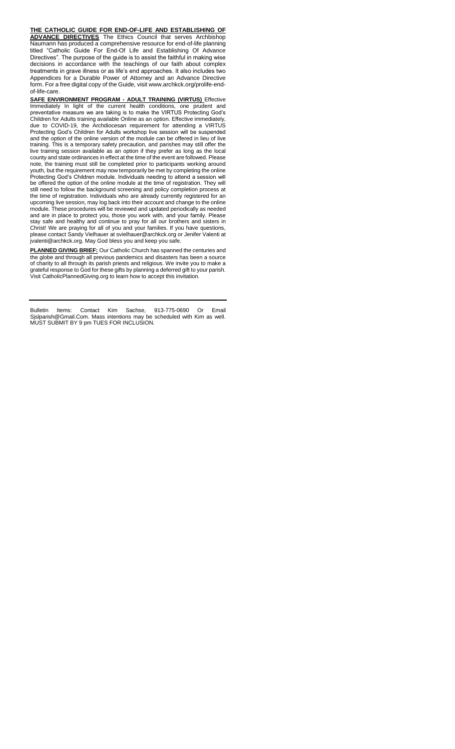**THE CATHOLIC GUIDE FOR END-OF-LIFE AND ESTABLISHING OF ADVANCE DIRECTIVES** The Ethics Council that serves Archbishop Naumann has produced a comprehensive resource for end-of-life planning titled "Catholic Guide For End-Of Life and Establishing Of Advance Directives". The purpose of the guide is to assist the faithful in making wise decisions in accordance with the teachings of our faith about complex treatments in grave illness or as life's end approaches. It also includes two Appendices for a Durable Power of Attorney and an Advance Directive form. For a free digital copy of the Guide, visit www.archkck.org/prolife-endof-life-care.

**SAFE ENVIRONMENT PROGRAM - ADULT TRAINING (VIRTUS)** Effective Immediately In light of the current health conditions, one prudent and preventative measure we are taking is to make the VIRTUS Protecting God's Children for Adults training available Online as an option. Effective immediately, due to COVID-19, the Archdiocesan requirement for attending a VIRTUS Protecting God's Children for Adults workshop live session will be suspended and the option of the online version of the module can be offered in lieu of live training. This is a temporary safety precaution, and parishes may still offer the live training session available as an option if they prefer as long as the local county and state ordinances in effect at the time of the event are followed. Please note, the training must still be completed prior to participants working around youth, but the requirement may now temporarily be met by completing the online Protecting God's Children module. Individuals needing to attend a session will be offered the option of the online module at the time of registration. They will still need to follow the background screening and policy completion process at the time of registration. Individuals who are already currently registered for an upcoming live session, may log back into their account and change to the online module. These procedures will be reviewed and updated periodically as needed and are in place to protect you, those you work with, and your family. Please stay safe and healthy and continue to pray for all our brothers and sisters in Christ! We are praying for all of you and your families. If you have questions, please contact Sandy Vielhauer at svielhauer@archkck.org or Jenifer Valenti at jvalenti@archkck.org. May God bless you and keep you safe.

**PLANNED GIVING BRIEF:** Our Catholic Church has spanned the centuries and the globe and through all previous pandemics and disasters has been a source of charity to all through its parish priests and religious. We invite you to make a grateful response to God for these gifts by planning a deferred gift to your parish. Visit CatholicPlannedGiving.org to learn how to accept this invitation.

Bulletin Items: Contact Kim Sachse, 913-775-0690 Or Email Sjslparish@Gmail.Com. Mass intentions may be scheduled with Kim as well. MUST SUBMIT BY 9 pm TUES FOR INCLUSION.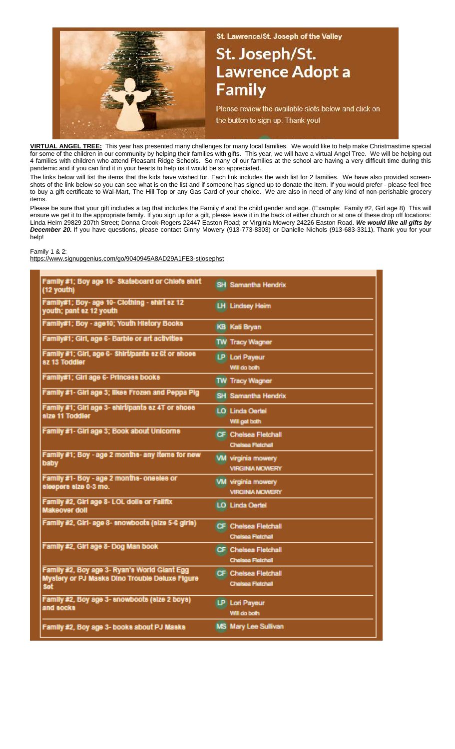

St. Lawrence/St. Joseph of the Valley

# St. Joseph/St. **Lawrence Adopt a Family**

Please review the available slots below and click on the button to sign up. Thank you!

**VIRTUAL ANGEL TREE:** This year has presented many challenges for many local families. We would like to help make Christmastime special for some of the children in our community by helping their families with gifts. This year, we will have a virtual Angel Tree. We will be helping out 4 families with children who attend Pleasant Ridge Schools. So many of our families at the school are having a very difficult time during this pandemic and if you can find it in your hearts to help us it would be so appreciated.

The links below will list the items that the kids have wished for. Each link includes the wish list for 2 families. We have also provided screenshots of the link below so you can see what is on the list and if someone has signed up to donate the item. If you would prefer - please feel free to buy a gift certificate to Wal-Mart, The Hill Top or any Gas Card of your choice. We are also in need of any kind of non-perishable grocery items.

Please be sure that your gift includes a tag that includes the Family # and the child gender and age. (Example: Family #2, Girl age 8) This will ensure we get it to the appropriate family. If you sign up for a gift, please leave it in the back of either church or at one of these drop off locations: Linda Heim 29829 207th Street; Donna Crook-Rogers 22447 Easton Road; or Virginia Mowery 24226 Easton Road. *We would like all gifts by December 20.* If you have questions, please contact Ginny Mowery (913-773-8303) or Danielle Nichols (913-683-3311). Thank you for your help!

Family 1 & 2:

https://www.signupgenius.com/go/9040945A8AD29A1FE3-stjosephst

| Family #1; Boy age 10- Skateboard or Chiefs shirt<br>(12 youth)                                              | <b>SH</b> Samantha Hendrix                              |
|--------------------------------------------------------------------------------------------------------------|---------------------------------------------------------|
| Family#1; Boy- age 10- Clothing - shirt sz 12<br>youth; pant sz 12 youth                                     | <b>LH</b> Lindsey Heim                                  |
| Family#1; Boy - age10; Youth History Books                                                                   | <b>KB</b> Kati Bryan                                    |
| Family#1; Girl, age 6- Barble or art activities                                                              | <b>TW Tracy Wagner</b>                                  |
| Family #1; Girl, age 6- Shirtipants sz 6t or shoes<br>az 13 Toddier                                          | LP Lori Payeur<br>Will do both                          |
| Family#1; Girl age 6- Princess books                                                                         | <b>TW Tracy Wagner</b>                                  |
| Family #1- Girl age 3; likes Frozen and Peppa Pig                                                            | <b>SH</b> Samantha Hendrix                              |
| Family #1; Girl age 3- shirt/pants sz 4T or shoes<br>size 11 Toddler                                         | <b>LOI Linda Oertel</b><br>Will get both                |
| Family #1- Girl age 3; Book about Unicorns                                                                   | <b>CF</b> Chelsea Fletchall<br><b>Chelsea Fietchall</b> |
| Family #1; Boy - age 2 months- any items for new<br>baby                                                     | <b>VM</b> virginia mowery<br><b>VIRGINIA MOWERY</b>     |
| Family #1- Boy - age 2 months- onesles or<br>sisepers size 0-3 mo.                                           | <b>VM</b> virginia mowery<br><b>VIRGINIA MOWERY</b>     |
| Family #2, Girl age 8- LOL dolls or Fallfix<br>Makeover doll                                                 | LO Linda Oertel                                         |
| Family #2, Girl- age 8- anowboots (size 5-6 girls)                                                           | CF Chelsea Fletchall<br><b>Chelsea Fletchall</b>        |
| Family #2, Girl age 8- Dog Man book                                                                          | CF Chelsea Fletchall<br>Chelsea Fleichall               |
| Family #2, Boy age 3- Ryan's World Glant Egg<br>Mystery or PJ Masks Dino Trouble Deluxe Figure<br><b>Set</b> | CF Chelsea Fletchall<br>Chelsea Fletchall               |
| Family #2, Boy age 3- snowboots (size 2 boys)<br>and socks                                                   | LP Lori Payeur<br>Will do both                          |
| Family #2, Boy age 3- books about PJ Masks                                                                   | MS Mary Lee Sullivan                                    |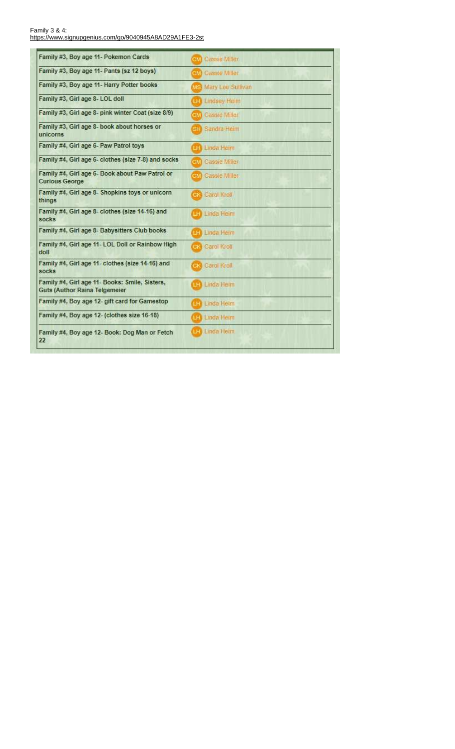Family 3 & 4:<br>https://www.signupgenius.com/go/9040945A8AD29A1FE3-2st

| Family #3, Boy age 11- Pokemon Cards                                                   | om Cassie Milier         |
|----------------------------------------------------------------------------------------|--------------------------|
| Family #3, Boy age 11- Pants (sz 12 boys)                                              | oil Cassie Miller        |
| Family #3, Boy age 11- Harry Potter books                                              | MS Mary Lee Sullivan     |
| Family #3, Girl age 8- LOL doll                                                        | <b>CF</b> Lindsey Heim   |
| Family #3, Girl age 8- pink winter Coat (size 8/9)                                     | <b>MAN</b> Cassie Miller |
| Family #3, Girl age 8- book about horses or<br>unicorns                                | el: Sandra Heim          |
| Family #4, Girl age 6- Paw Patrol toys                                                 | <b>až</b> Linda Heim     |
| Family #4, Girl age 6- clothes (size 7-8) and socks                                    | old Cassie Miller        |
| Family #4, Girl age 6- Book about Paw Patrol or<br><b>Curious George</b>               | oiM Cassie Miller        |
| Family #4, Girl age 8- Shopkins toys or unicorn<br>things                              | Carol Kroll              |
| Family #4, Girl age 8- clothes (size 14-16) and<br>socks                               | Linda Heim               |
| Family #4, Girl age 8- Babysitters Club books                                          | 42) Linda Heim           |
| Family #4, Girl age 11- LOL Doll or Rainbow High<br>doll                               | Carol Kroll              |
| Family #4, Girl age 11- clothes (size 14-16) and<br>socks                              | <b>Carol Kroll</b>       |
| Family #4, Girl age 11- Books: Smile, Sisters,<br><b>Guts (Author Raina Telgemeier</b> | La Linda Heim            |
| Family #4, Boy age 12- gift card for Gamestop                                          | <b>At I Linda Heim</b>   |
| Family #4, Boy age 12- (clothes size 16-18)                                            | <b>až</b> Linda Heim     |
| Family #4, Boy age 12- Book: Dog Man or Fetch<br>22                                    | <b>BE</b> Linda Heim     |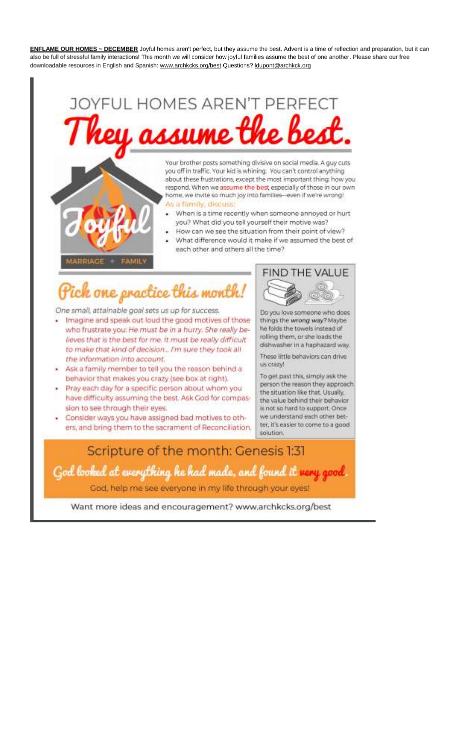ENFLAME OUR HOMES ~ DECEMBER Joyful homes aren't perfect, but they assume the best. Advent is a time of reflection and preparation, but it can also be full of stressful family interactions! This month we will consider how joyful families assume the best of one another. Please share our free downloadable resources in English and Spanish: www.archkcks.org/best Questions? |dupont@archkck.org

# **JOYFUL HOMES AREN'T PERFECT** rey assume the be

Your brother posts something divisive on social media. A guy cuts you off in traffic. Your kid is whining. You can't control anything about these frustrations, except the most important thing: how you respond. When we assume the best especially of those in our own home, we invite so much joy into families-even if we're wrong! As a family, discuss

- When is a time recently when someone annoyed or hurt you? What did you tell yourself their motive was?
- How can we see the situation from their point of view?
- What difference would it make if we assumed the best of each other and others all the time?

**ARRIAGE FAMILY** 

# ich one practice this month

One small, attainable goal sets us up for success.

- · Imagine and speak out loud the good motives of those who frustrate you: He must be in a hurry. She really believes that is the best for me. It must be really difficult to make that kind of decision... I'm sure they took all the information into account.
- Ask a family member to tell you the reason behind a behavior that makes you crazy (see box at right).
- · Pray each day for a specific person about whom you have difficulty assuming the best. Ask God for compassion to see through their eyes.
- · Consider ways you have assigned bad motives to others, and bring them to the sacrament of Reconciliation.



Do you love someone who does things the wrong way? Maybe he folds the towels instead of rolling them, or she loads the dishwasher in a haphazard way.

These little behaviors can drive us crazyl

To get past this, simply ask the person the reason they approach the situation like that. Usually, the value behind their behavior is not so hard to support. Once we understand each other better, it's easier to come to a good solution.

# Scripture of the month: Genesis 1:31 God looked at everything he had made, and found it very good. God, help me see everyone in my life through your eyes!

Want more ideas and encouragement? www.archkcks.org/best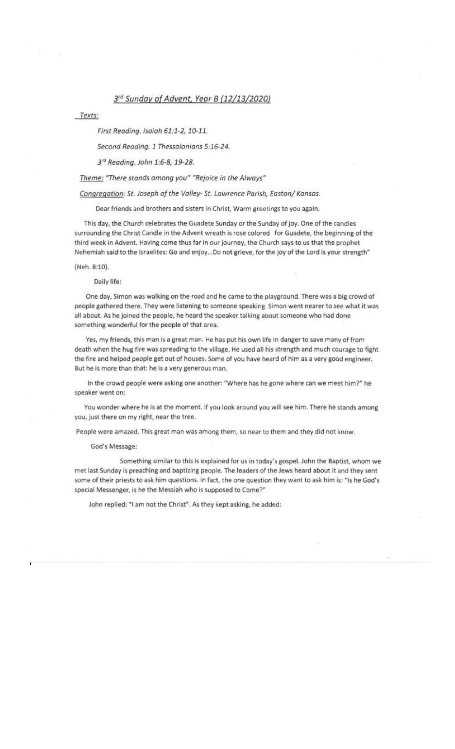## 3rd Sunday of Advent, Year B (12/13/2020)

Texts:

First Reading. Isaiah 61:1-2, 10-11.

Second Reading. 1 Thessalonians 5:16-24.

3<sup>rd</sup> Reading. John 1:6-8, 19-28.

Theme: "There stands among you" "Rejoice in the Always"

Congregation: St. Joseph of the Valley-St. Lawrence Parish, Easton/ Kansas.

Dear friends and brothers and sisters in Christ, Warm greetings to you again.

This day, the Church celebrates the Guadete Sunday or the Sunday of joy. One of the candles surrounding the Christ Candle in the Advent wreath is rose colored for Guadete, the beginning of the third week in Advent. Having come thus far in our journey, the Church says to us that the prophet Nehemiah said to the Israelites: Go and enjoy...Do not grieve, for the joy of the Lord is your strength"

(Neh. 8:10).

Daily life:

One day, Simon was walking on the road and he came to the playground. There was a big crowd of people gathered there. They were listening to someone speaking. Simon went nearer to see what it was all about. As he joined the people, he heard the speaker talking about someone who had done something wonderful for the people of that area.

Yes, my friends, this man is a great man. He has put his own life in danger to save many of from death when the hug fire was spreading to the village. He used all his strength and much courage to fight the fire and helped people get out of houses. Some of you have heard of him as a very good engineer. But he is more than that: he is a very generous man.

In the crowd people were asking one another: "Where has he gone where can we meet him?" he speaker went on:

You wonder where he is at the moment. If you look around you will see him. There he stands among you, just there on my right, near the tree.

People were amazed. This great man was among them, so near to them and they did not know.

God's Message:

Something similar to this is explained for us in today's gospel. John the Baptist, whom we met last Sunday is preaching and baptizing people. The leaders of the Jews heard about it and they sent some of their priests to ask him questions. In fact, the one question they want to ask him is: "Is he God's special Messenger, is he the Messiah who is supposed to Come?"

John replied: "I am not the Christ". As they kept asking, he added: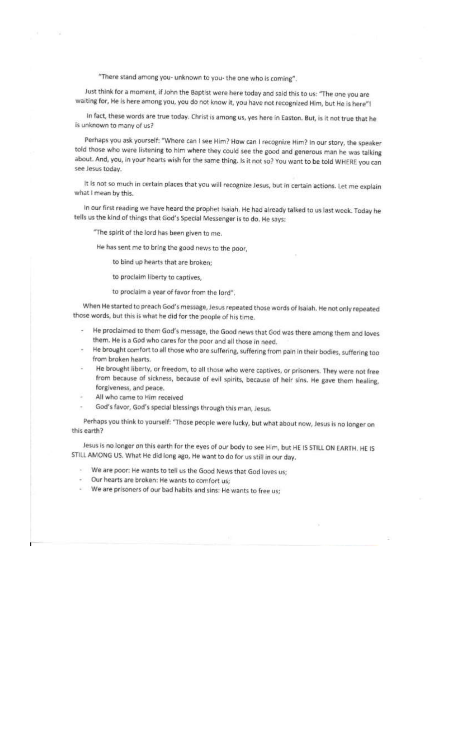"There stand among you- unknown to you- the one who is coming".

Just think for a moment, if John the Baptist were here today and said this to us: "The one you are waiting for, He is here among you, you do not know it, you have not recognized Him, but He is here"!

In fact, these words are true today. Christ is among us, yes here in Easton. But, is it not true that he is unknown to many of us?

Perhaps you ask yourself: "Where can I see Him? How can I recognize Him? In our story, the speaker told those who were listening to him where they could see the good and generous man he was talking about. And, you, in your hearts wish for the same thing. Is it not so? You want to be told WHERE you can see Jesus today.

It is not so much in certain places that you will recognize Jesus, but in certain actions. Let me explain what I mean by this.

In our first reading we have heard the prophet Isaiah. He had already talked to us last week. Today he tells us the kind of things that God's Special Messenger is to do. He says:

"The spirit of the lord has been given to me.

He has sent me to bring the good news to the poor,

to bind up hearts that are broken;

to proclaim liberty to captives,

to proclaim a year of favor from the lord".

When He started to preach God's message, Jesus repeated those words of Isaiah. He not only repeated those words, but this is what he did for the people of his time.

- He proclaimed to them God's message, the Good news that God was there among them and loves them. He is a God who cares for the poor and all those in need.
- He brought comfort to all those who are suffering, suffering from pain in their bodies, suffering too from broken hearts.
- He brought liberty, or freedom, to all those who were captives, or prisoners. They were not free from because of sickness, because of evil spirits, because of heir sins. He gave them healing, forgiveness, and peace.
- All who came to Him received
- God's favor, God's special blessings through this man, Jesus.

Perhaps you think to yourself: "Those people were lucky, but what about now, Jesus is no longer on this earth?

Jesus is no longer on this earth for the eyes of our body to see Him, but HE IS STILL ON EARTH. HE IS STILL AMONG US. What He did long ago, He want to do for us still in our day.

- We are poor: He wants to tell us the Good News that God loves us;
- Our hearts are broken: He wants to comfort us;
- We are prisoners of our bad habits and sins: He wants to free us;